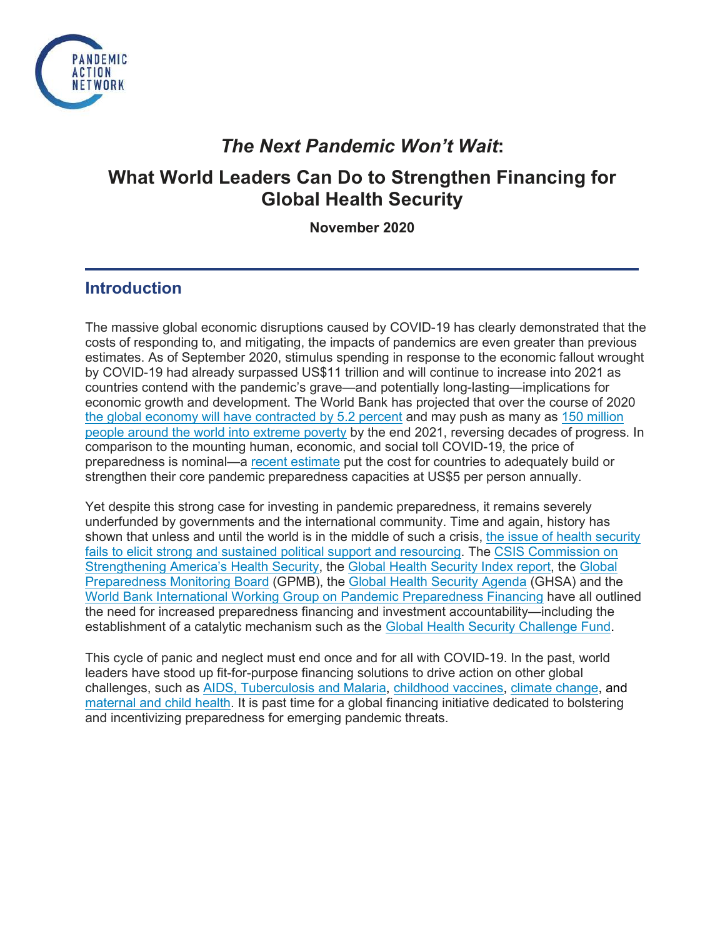

## *The Next Pandemic Won't Wait***:**

# **What World Leaders Can Do to Strengthen Financing for Global Health Security**

**November 2020**

## **Introduction**

The massive global economic disruptions caused by COVID-19 has clearly demonstrated that the costs of responding to, and mitigating, the impacts of pandemics are even greater than previous estimates. As of September 2020, stimulus spending in response to the economic fallout wrought by COVID-19 had already surpassed US\$11 trillion and will continue to increase into 2021 as countries contend with the pandemic's grave—and potentially long-lasting—implications for economic growth and development. The World Bank has projected that over the course of 2020 [the global economy will have contracted by 5.2 percent](https://www.worldbank.org/en/news/press-release/2020/06/08/covid-19-to-plunge-global-economy-into-worst-recession-since-world-war-ii#:%7E:text=WASHINGTON%2C%20June%208%2C%202020%20%E2%80%94,shrink%20by%205.2%25%20this%20year.) and may push as many as [150 million](https://www.worldbank.org/en/news/press-release/2020/10/07/covid-19-to-add-as-many-as-150-million-extreme-poor-by-2021#:%7E:text=The%20COVID%2D19%20pandemic%20is,severity%20of%20the%20economic%20contraction.)  [people around the world into extreme poverty](https://www.worldbank.org/en/news/press-release/2020/10/07/covid-19-to-add-as-many-as-150-million-extreme-poor-by-2021#:%7E:text=The%20COVID%2D19%20pandemic%20is,severity%20of%20the%20economic%20contraction.) by the end 2021, reversing decades of progress. In comparison to the mounting human, economic, and social toll COVID-19, the price of preparedness is nominal—a [recent estimate](https://www.mckinsey.com/%7E/media/McKinsey/Industries/Public%20and%20Social%20Sector/Our%20Insights/Not%20the%20last%20pandemic%20Investing%20now%20to%20reimagine%20public%20health%20systems/Not-the-last-pandemic-Investing-now-to-reimagine-public-health-systems-F.pdf) put the cost for countries to adequately build or strengthen their core pandemic preparedness capacities at US\$5 per person annually.

Yet despite this strong case for investing in pandemic preparedness, it remains severely underfunded by governments and the international community. Time and again, history has shown that unless and until the world is in the middle of such a crisis, [the issue of health security](https://thehill.com/opinion/healthcare/482049-stop-coronavirus-and-the-next-epidemic-by-establishing-a-healthy-security)  [fails to elicit strong and sustained political support and resourcing.](https://thehill.com/opinion/healthcare/482049-stop-coronavirus-and-the-next-epidemic-by-establishing-a-healthy-security) The [CSIS Commission on](https://healthsecurity.csis.org/final-report/)  [Strengthening America's Health Security,](https://healthsecurity.csis.org/final-report/) the [Global Health Security Index report,](https://www.ghsindex.org/wp-content/uploads/2020/04/2019-Global-Health-Security-Index.pdf) the [Global](https://apps.who.int/gpmb/annual_report.html)  [Preparedness Monitoring Board](https://apps.who.int/gpmb/annual_report.html) (GPMB), the [Global Health Security Agenda](https://ghsagenda.org/) (GHSA) and the [World Bank International Working Group on Pandemic Preparedness Financing](http://documents1.worldbank.org/curated/en/979591495652724770/pdf/115271-REVISED-FINAL-IWG-Report-3-5-18.pdf) have all outlined the need for increased preparedness financing and investment accountability—including the establishment of a catalytic mechanism such as the [Global Health Security Challenge Fund.](https://media.nti.org/documents/GHS_Challenge_Fund_Concept_Note_FINAL.PDF)

This cycle of panic and neglect must end once and for all with COVID-19. In the past, world leaders have stood up fit-for-purpose financing solutions to drive action on other global challenges, such as [AIDS, Tuberculosis and Malaria,](https://www.theglobalfund.org/en/overview/#:%7E:text=The%20Global%20Fund%20to%20Fight%20AIDS%2C%20Tuberculosis%20and%20Malaria%20was,to%20defeat%20these%20three%20diseases.) [childhood vaccines,](https://www.gavi.org/our-alliance/about) [climate change,](https://www.climateinvestmentfunds.org/) and [maternal and child health.](https://www.globalfinancingfacility.org/) It is past time for a global financing initiative dedicated to bolstering and incentivizing preparedness for emerging pandemic threats.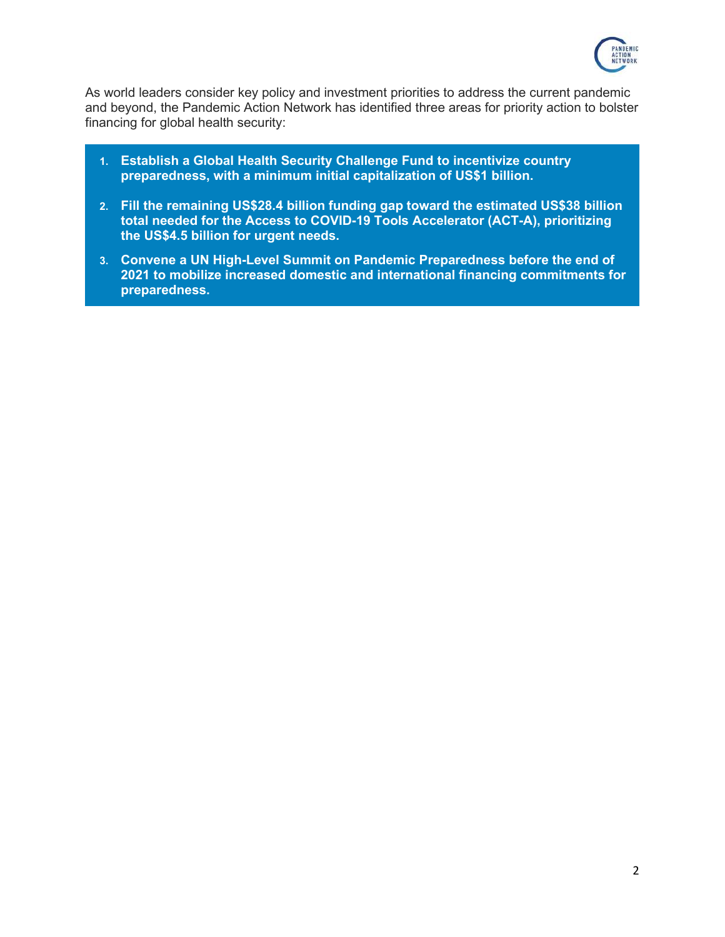

As world leaders consider key policy and investment priorities to address the current pandemic and beyond, the Pandemic Action Network has identified three areas for priority action to bolster financing for global health security:

- **1. Establish a Global Health Security Challenge Fund to incentivize country preparedness, with a minimum initial capitalization of US\$1 billion.**
- **2. Fill the remaining US\$28.4 billion funding gap toward the estimated US\$38 billion total needed for the Access to COVID-19 Tools Accelerator (ACT-A), prioritizing the US\$4.5 billion for urgent needs.**
- **3. Convene a UN High-Level Summit on Pandemic Preparedness before the end of 2021 to mobilize increased domestic and international financing commitments for preparedness.**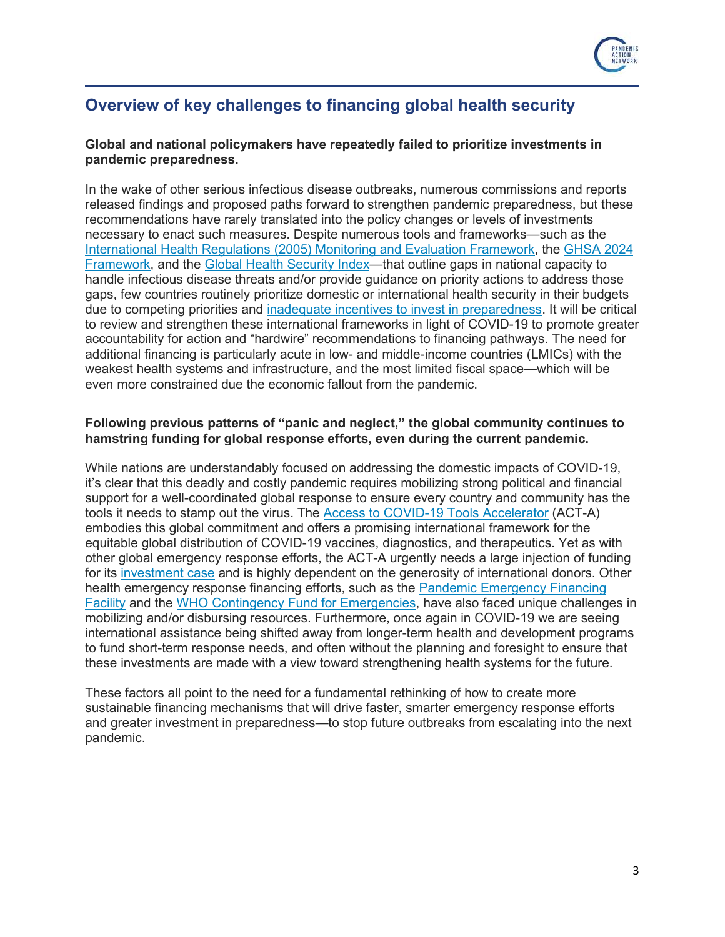

## **Overview of key challenges to financing global health security**

#### **Global and national policymakers have repeatedly failed to prioritize investments in pandemic preparedness.**

In the wake of other serious infectious disease outbreaks, numerous commissions and reports released findings and proposed paths forward to strengthen pandemic preparedness, but these recommendations have rarely translated into the policy changes or levels of investments necessary to enact such measures. Despite numerous tools and frameworks—such as the [International Health Regulations \(2005\) Monitoring and Evaluation Framework,](https://www.who.int/ihr/about/en/) the [GHSA 2024](https://ghsagenda.org/wp-content/uploads/2020/06/ghsa2024-framework.pdf)  [Framework,](https://ghsagenda.org/wp-content/uploads/2020/06/ghsa2024-framework.pdf) and the [Global Health Security Index—](https://www.ghsindex.org/)that outline gaps in national capacity to handle infectious disease threats and/or provide guidance on priority actions to address those gaps, few countries routinely prioritize domestic or international health security in their budgets due to competing priorities and [inadequate incentives to invest in preparedness.](https://www.csis.org/analysis/harnessing-multilateral-financing-health-security-preparedness) It will be critical to review and strengthen these international frameworks in light of COVID-19 to promote greater accountability for action and "hardwire" recommendations to financing pathways. The need for additional financing is particularly acute in low- and middle-income countries (LMICs) with the weakest health systems and infrastructure, and the most limited fiscal space—which will be even more constrained due the economic fallout from the pandemic.

#### **Following previous patterns of "panic and neglect," the global community continues to hamstring funding for global response efforts, even during the current pandemic.**

While nations are understandably focused on addressing the domestic impacts of COVID-19, it's clear that this deadly and costly pandemic requires mobilizing strong political and financial support for a well-coordinated global response to ensure every country and community has the tools it needs to stamp out the virus. The [Access to COVID-19 Tools Accelerator](https://www.who.int/initiatives/act-accelerator) (ACT-A) embodies this global commitment and offers a promising international framework for the equitable global distribution of COVID-19 vaccines, diagnostics, and therapeutics. Yet as with other global emergency response efforts, the ACT-A urgently needs a large injection of funding for its [investment case](https://www.who.int/publications/i/item/an-economic-investment-case-financing-requirements) and is highly dependent on the generosity of international donors. Other health emergency response financing efforts, such as the [Pandemic Emergency Financing](https://www.bmj.com/content/367/bmj.l5719)  [Facility](https://www.bmj.com/content/367/bmj.l5719) and the [WHO Contingency Fund for Emergencies,](https://www.who.int/emergencies/funding/contingency-fund-for-emergencies) have also faced unique challenges in mobilizing and/or disbursing resources. Furthermore, once again in COVID-19 we are seeing international assistance being shifted away from longer-term health and development programs to fund short-term response needs, and often without the planning and foresight to ensure that these investments are made with a view toward strengthening health systems for the future.

These factors all point to the need for a fundamental rethinking of how to create more sustainable financing mechanisms that will drive faster, smarter emergency response efforts and greater investment in preparedness—to stop future outbreaks from escalating into the next pandemic.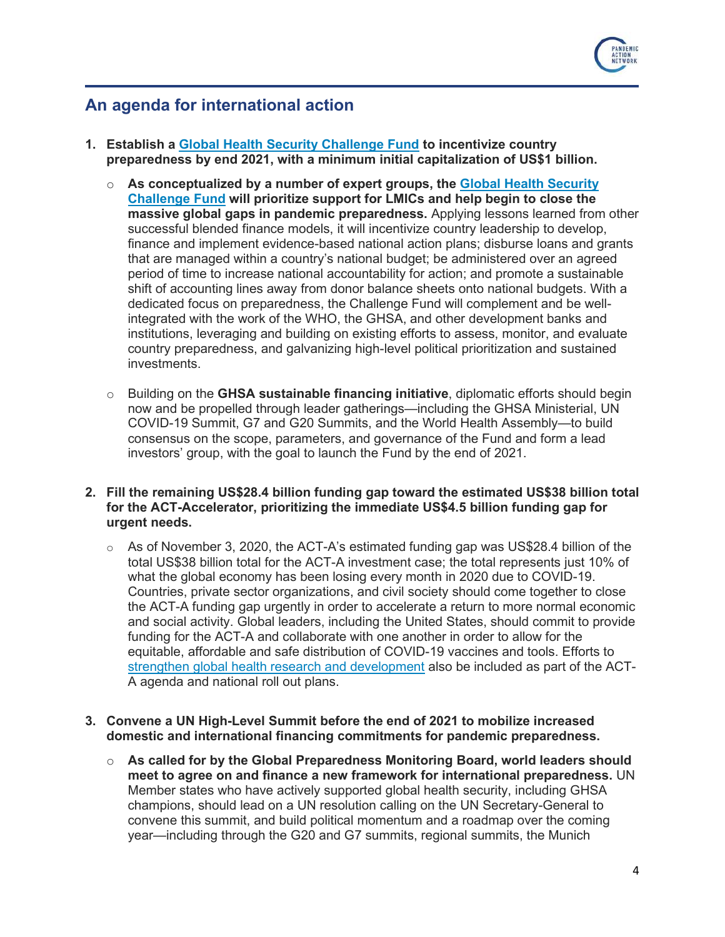

### **An agenda for international action**

- **1. Establish a [Global Health Security Challenge Fund](https://media.nti.org/documents/GHS_Challenge_Fund_Concept_Note_FINAL.PDF) to incentivize country preparedness by end 2021, with a minimum initial capitalization of US\$1 billion.**
	- o **As conceptualized by a number of expert groups, the [Global Health Security](https://www.nti.org/newsroom/news/preventing-next-pandemic-challenge-fund-build-health-security/)  [Challenge Fund](https://www.nti.org/newsroom/news/preventing-next-pandemic-challenge-fund-build-health-security/) will prioritize support for LMICs and help begin to close the massive global gaps in pandemic preparedness.** Applying lessons learned from other successful blended finance models, it will incentivize country leadership to develop, finance and implement evidence-based national action plans; disburse loans and grants that are managed within a country's national budget; be administered over an agreed period of time to increase national accountability for action; and promote a sustainable shift of accounting lines away from donor balance sheets onto national budgets. With a dedicated focus on preparedness, the Challenge Fund will complement and be wellintegrated with the work of the WHO, the GHSA, and other development banks and institutions, leveraging and building on existing efforts to assess, monitor, and evaluate country preparedness, and galvanizing high-level political prioritization and sustained investments.
	- o Building on the **GHSA sustainable financing initiative**, diplomatic efforts should begin now and be propelled through leader gatherings—including the GHSA Ministerial, UN COVID-19 Summit, G7 and G20 Summits, and the World Health Assembly—to build consensus on the scope, parameters, and governance of the Fund and form a lead investors' group, with the goal to launch the Fund by the end of 2021.
- **2. Fill the remaining US\$28.4 billion funding gap toward the estimated US\$38 billion total for the ACT-Accelerator, prioritizing the immediate US\$4.5 billion funding gap for urgent needs.**
	- $\circ$  As of November 3, 2020, the ACT-A's estimated funding gap was US\$28.4 billion of the total US\$38 billion total for the ACT-A investment case; the total represents just 10% of what the global economy has been losing every month in 2020 due to COVID-19. Countries, private sector organizations, and civil society should come together to close the ACT-A funding gap urgently in order to accelerate a return to more normal economic and social activity. Global leaders, including the United States, should commit to provide funding for the ACT-A and collaborate with one another in order to allow for the equitable, affordable and safe distribution of COVID-19 vaccines and tools. Efforts to [strengthen global health research and development](https://pandemicactionnetwork.org/wp-content/uploads/2020/10/Pandemic-Action-Agenda-RD.pdf) also be included as part of the ACT-A agenda and national roll out plans.

#### **3. Convene a UN High-Level Summit before the end of 2021 to mobilize increased domestic and international financing commitments for pandemic preparedness.**

o **As called for by the Global Preparedness Monitoring Board, world leaders should meet to agree on and finance a new framework for international preparedness.** UN Member states who have actively supported global health security, including GHSA champions, should lead on a UN resolution calling on the UN Secretary-General to convene this summit, and build political momentum and a roadmap over the coming year—including through the G20 and G7 summits, regional summits, the Munich